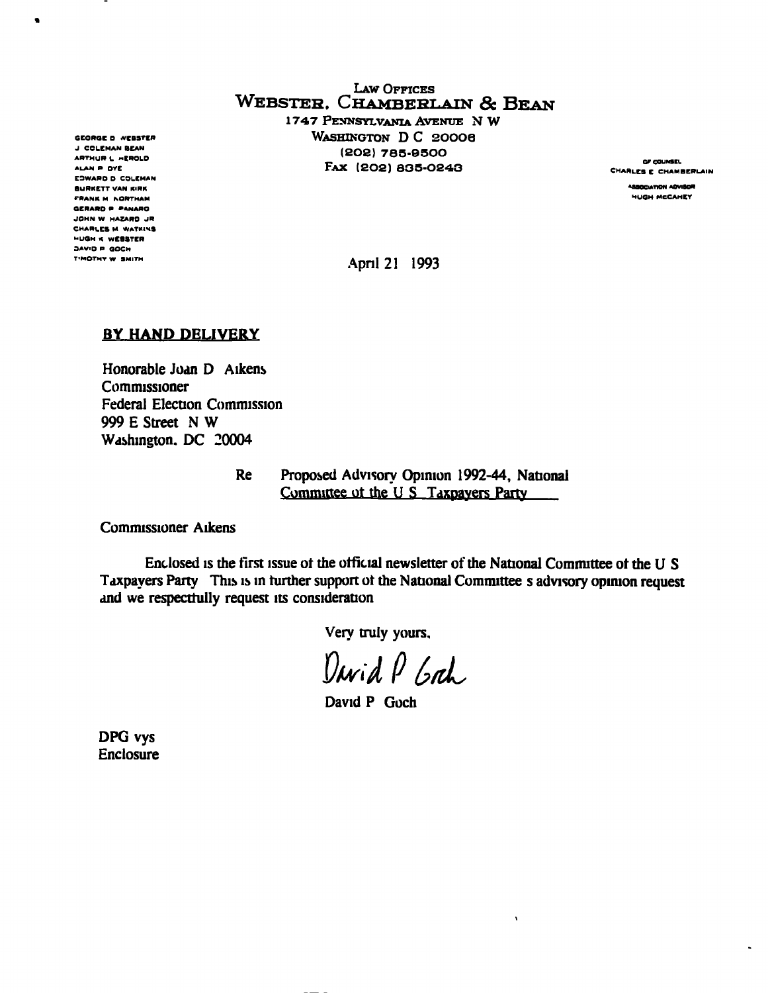LAW OFFICES WEBSTER. CHAMBERLAIN & BEAN 1747 PENNSYLVANIA AVENUE N W

GEORGE D WEBSTER WASHINGTON D C 20006 J CCLEMAN BEAN (202) 785-9500<br>ARTHUR L "KROLD I BUB) 785-9500 ARTHUR L HEROLD COURSEL COMPANY (202) 763-9300<br>ALAN P DYE CHARLES E CHAMBERLAIN FORE CHAMBERLAIN

April 21 1993

## BY HAND DELIVERY

Honorable Joan D Aikens **Commissioner** Federal Election Commission 999 E Street N W Washington. DC 20004

> Re Proposed Advisory Opinion 1992-44, National Committee of the U S Taxpayers Party

Commissioner Aikens

Enclosed is the first issue ot the official newsletter of the National Committee ot the U S Taxpayers Party This is in further support ot the National Committee s advisory opinion request and we respectfully request its consideration

Very truly yours,

David P Grah

 $\ddot{\phantom{a}}$ 

David P Goch

DPG vys Enclosure

E3WARO D COLEMAN BURKETT VAN KIRK<br>BURKETT VAN KIRK<br>50ank m acdymam FRANK M NORTHAM GERARD P P«NARO JOHN W HAZARD JR CHARLES M WATKIVS XUOH « WEBSTER 3AVID P OOCH T'MOTHY W SMITH

 $\bullet$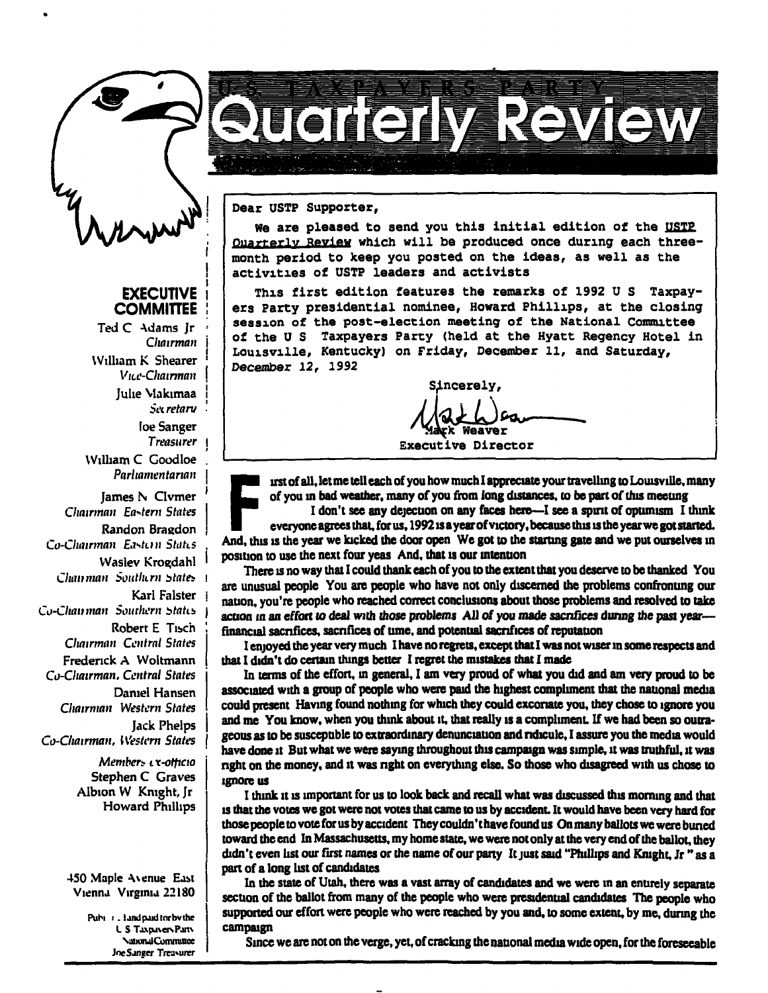

## **EXECUTIVE COMMITTEE**

Ted C -\dams Ir Chairman William K Shearer  $V$ u e-Chairman Julie Makimaa Sei retaru loe Sanger Treasurer William C Coodloe Parliamentarian

I

James N Clvmer Chairman Eastern States Randon Bragdon Co-Chairman Eastern States Waslev Krogdahl Chan man Southern States Karl Falster Co-Chamman Southern States Robert E Tisch Chairman Central States Frederick A Woltmann Co-Qiairman, Central States Daniel Hansen Chairman Western States Jack Phelps Co-Chairman, Western States

> Members *i* x-otticio Stephen C Graves Albion W Knight, Jr Howard Phillips

450 Maple Avenue East Vienna Virginia 22180

> Pubi i. land paid lor bvihe L S Taxpayers Pan\ \jiiunalComnunce JoeSanger Treasurer

Dear USTP Supporter,

We are pleased to send you this initial edition of the USTP Quarterly Review which will be produced once during each threemonth period to keep you posted on the ideas, as well as the activities of USTP leaders and activists

**TEGHESIMENSEN** 

This first edition features the remarks of 1992 U S Taxpayers Party presidential nominee, Howard Phillips, at the closing session of the post-election meeting of the National Committee of the U S Taxpayers Party (held at the Hyatt Regency Hotel in Louisville, Kentucky) on Friday, December 11, and Saturday, December 12, 1992

Sincerely

weaver

Executive Director

irst of all, let me tell each of you how much I appreciate your travelling to Louisville, many of you in bad weather, many of you from long distances, to be part of this meeting

of you in bad weather, many of you from long distances, to be part of this meeting<br>I don't see any dejection on any faces here—I see a spirit of optimism I think<br>everyone agrees that, for us, 1992 is a year of victory, bec I don't see any dejection on any faces here—I see a spirit of optimism I think everyone agrees that, for us, 1992 is a year of victory, because this is the year we got started, position to use the next four yeas And, that is our intention

There is no way that I could thank each of you to the extent that you deserve to be thanked You are unusual people You are people who have not only discerned the problems confronting our nation, you're people who reached correct conclusions about those problems and resolved to take action in an effort to deal with those problems All of you made sacrifices during the past yearfinancial sacrifices, sacrifices of tune, and potential sacrifices of reputation

I enjoyed the year very much I have no regrets, except that I was not wiser in some respects and that I didn't do certain things better I regret the mistakes that I made

In terms of the effort, in general, I am very proud of what you did and am very proud to be associated with a group of people who were paid the highest compliment that the national media could present Having found nothing for which they could excoriate you, they chose to ignore you and me You know, when you think about it, that really is a compliment. If we had been so outrageous as to be susceptible to extraordinary denunciation and ridicule. I assure you the media would have done it But what we were saying throughout this campaign was simple, it was truthful, it was right on the money, and it was nght on everything else. So those who disagreed with us chose to ignore us

I think it is important for us to look back and recall what was discussed this morning and that is that the votes we got were not votes that came to us by accident. It would have been very hard for those people to vote for us by accident Theycouldn'thavefoundus On many ballots we were buned toward the end In Massachusetts, my home state, we were not only at the very end of the ballot, they didn't even list our first names or the name of our party It just said "Phillips and Knight, Jr " as a part of a long list of candidates

In the state of Utah, there was a vast array of candidates and we were in an entirely separate section of the ballot from many of the people who were presidential candidates The people who supported our effort were people who were reached by you and, to some extent, by me, during the campaign

Since we are not on the verge, yet, of cracking the national media wide open, for the foreseeable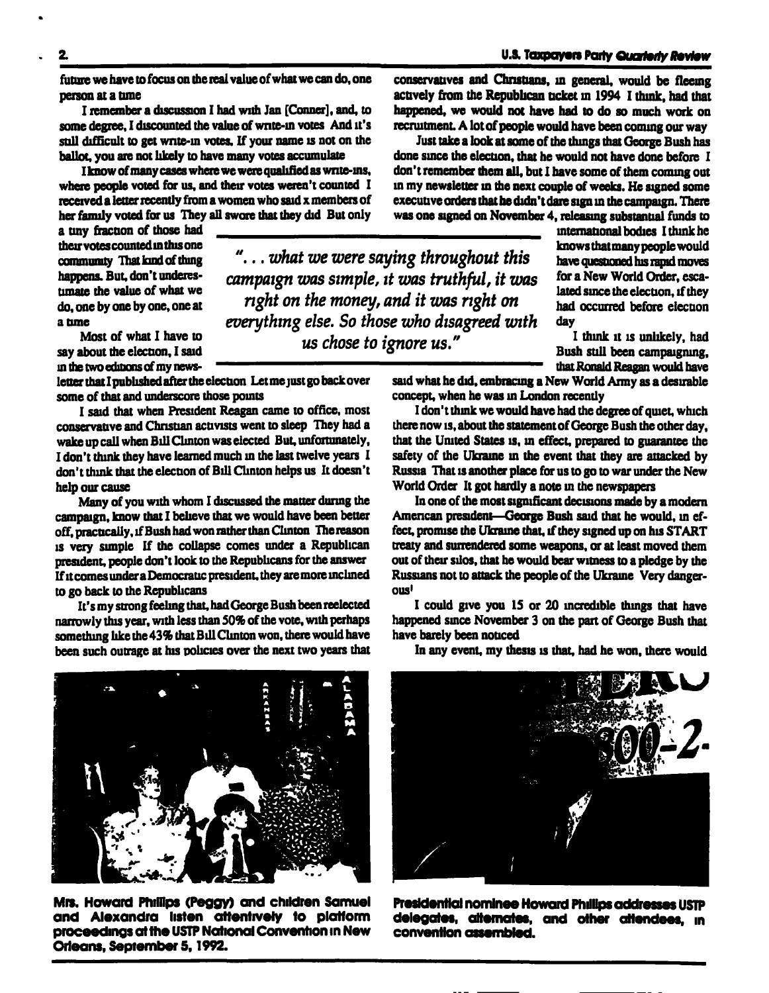future we have to focus on the real value of what we can do, one person at a time

I remember a discussion I had with Jan [Conner], and, to some degree, I discounted the value of write-in votes And it's still difficult to get write-in votes. If your name is not on the ballot, you are not likely to have many votes accumulate

I know of many cases where we were qualified as write-ins. where people voted for us, and their votes weren't counted I received a letter recently from a women who said x members of her family voted for us They all swore that they did But only<br>a tiny fraction of those had<br>their votes counted in this one

their votes counted in this one community That kind of thing happens. But. don't underestimate the value of what we do, one by one by one, one at a tune

Most of what I have to say about the election, I said in the two editions of my news-

letter that I published after the election Let me just go back over some of that and underscore those points

I said that when Resident Reagan came to office, most conservative and Christian activists went to sleep They had a wake up call when Bill Clinton was elected But, unfortunately, I don't think they have learned much in the last twelve years I don't think that the election of Bill Clinton helps us It doesn't help our cause

Many of you with whom I discussed the matter during the campaign, know that I believe that we would have been better off. practically, if Bush had won rather than Clinton The reason is very simple If the collapse comes under a Republican president, people don't look to the Republicans for the answer If it comes under a Democratic president, they are more inclined to go back to the Republicans

It's my strong feeling that, had George Bush been reelected narrowly this year, with less than 50% of the vote, with perhaps something like the 43% that Bill Clinton won, there would have been such outrage at his policies over the next two years that conservatives and Christians, in general, would be fleeing actively from the Republican ticket in 1994 I think, had that happened, we would not have had to do so much work on recruitment. A lot of people would have been coming our way

Just take a look at some of the things that George Bush has done since the election, that he would not have done before I don't remember them all, but I have some of them coming out in my newsletter in the next couple of weeks. He signed some executive orders that he didn't dare sign in the campaign. There was one signed on November 4, releasing substantial funds to

"... what we were saying throughout this campaign was simple, it was truthful, it was right on the money, and it was right on everything else. So those who disagreed with us chose to ignore us."

\_^^^^^^^^\_^^^^^^\_\_ international bodies I think he knows that many people would have questioned his rapid moves for a New World Order, escalated since the election, if they had occurred before election<br>day

I think it is unlikely, had Bush still been campaigning, that Ronald Reagan would have

said what he did, embracing a New World Army as a desirable concept, when he was in London recently

I don't think we would have had the degree of quiet, which there now is, about the statement of George Bush the other day, that the United States is, in effect, prepared to guarantee the safety of the Ukraine in the event that they are attacked by Russia That is another place for us to go to war under the New World Order It got hardly a note in the newspapers

In one of the most significant decisions made by a modern American president-George Bush said that he would, in effect. promise the Ukraine that, if they signed up on his START treaty and surrendered some weapons, or at least moved them out of their silos, that he would bear witness to a pledge by the Russians not to attack the people of the Ukraine Very dangerous<sup>1</sup>

I could give you 15 or 20 incredible things that have happened since November 3 on the part of George Bush that have barely been noticed

Mrs. Howard Phillips (Peggy) and children Samuel and Alexandra listen attentively to platform proceedings at the USTP National Convention in New Orleans, September 5,1992.

In any event, my thesis is that, had he won, there would





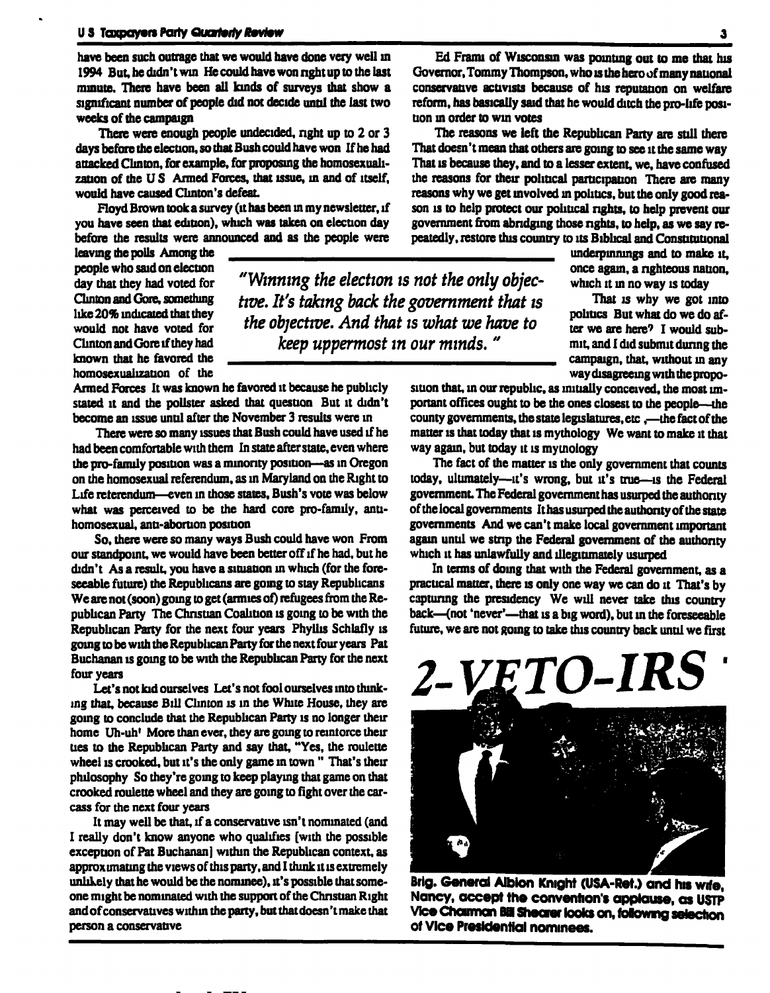have been such outrage that we would have done very well in 1994 But, he didn't win He could have won right up to the last minute. There have been all kinds of surveys that show a significant number of people did not decide until the last two weeks of the campaign

There were enough people undecided, nght up to 2 or 3 days before the election, so that Bush could have won If he had attacked Clinton, for example, for proposing the homosexualization of the U S Armed Forces, that issue, in and of itself, would have caused Clinton's defeat

Floyd Brown took a survey (it has been in my newsletter, if you have seen that edition), which was taken on election day before the results were announced and as the people were you have seen that edition), which was taken on election day<br>before the results were announced and as the people were<br>leaving the polls Among the<br>people who said on election

> "Winning the election is not the only objective. It's taking back the government that is the objective. And that is what we have to keep uppermost in our minds. "

people who said on election day that they had voted for Clinton and Gore, something like 20% indicated that they would not have voted for Clinton and Gore if they had known that he favored the homosexualization of the

Armed Forces It was known he favored it because he publicly stated it and the pollster asked that question But it didn't become an issue until after the November 3 results were in

There were so many issues that Bush could have used if he had been comfortable with them In state after state, even where the pro-family position was a minority position—as in Oregon on the homosexual referendum, as in Maryland on the Right to Life reterendum—even in those states. Bush's vote was below what was perceived to be the hard core pro-family, antihomosexual, anti-abortion position

So, there were so many ways Bush could have won From our standpoint, we would have been better off if he had. but he didn't As a result, you have a situation in which (for the foreseeable future) the Republicans are going to stay Republicans We are not (soon) going to get (armies of) refugees from the Republican Party The Christian Coalition is going to be with the Republican Party for the next four years Phyllis Schlafly is going to be with the Republican Party for the next four years Pat Buchanan is going to be with the Republican Party for the next four years

Let's not kid ourselves Let's not fool ourselves into thinking that, because Bill Clinton is in the While House, they are going to conclude that the Republican Party is no longer their home Uh-uh' More than ever, they are going to reintorce their ties to the Republican Party and say that, "Yes, the roulette wheel is crooked, but it's the only game in town "That's their philosophy So they're going to keep playing that game on that crooked roulette wheel and they are going to fight over the carcass for the next four years

It may well be that, if a conservative isn't nominated (and I really don't know anyone who qualifies [with the possible exception of Pat Buchanan] within the Republican context, as approximating the views of this party, and I think it is extremely unlikely that he would be the nominee), it's possible that someone might be nominated with the support of the Christian Right and of conservatives within the party, but that doesn't make that person a conservative

Ed Franu of Wisconsin was pointing out to me that his Governor, Tommy Thompson, who is the hero of many national conservative activists because of his reputation on welfare reform, has basically said that he would ditch the pro-life position in order to win votes

The reasons we left the Republican Party are still there That doesn't mean that others are going to see it the same way That is because they, and to a lesser extent, we, have confused the reasons for their political participation There are many reasons why we get involved in politics, but the only good reason is to help protect our political rights, to help prevent our government from abridging those rights, to help, as we say repeatedly, restore this country to its Biblical and Constitutional

> underpinnings and to make it, once again, a righteous nation, which it in no way is today

> That is why we got into politics But what do we do after we are here? I would submit, and I did submit during the campaign, that, without in any way disagreeing with the propo-

sition that, in our republic, as initially conceived, the most important offices ought to be the ones closest to the people—the county governments, the state legislatures, etc,—the fact of the matter is that today that is mythology We want to make it that way again, but today it is mythology

The fact of the matter is the only government that counts today, ultimately—it's wrong, but it's true—is the Federal government. The Federal government has usurped the authority of the local governments It has usurped the authority of the state governments And we can't make local government important again until we strip the Federal government of the authority which it has unlawfully and illegitimately usurped

In terms of doing that with the Federal government, as a practical matter, there is only one way we can do it That's by capturing the presidency We will never take this country back—(not 'never'—that is a big word), but in the foreseeable future, we are not going to take this country back until we first



Brig. General Albion Knight (USA-Ret.) and his wife, Nancy, accept the convention's applause, as USTP Vice Charman Bill Shearer looks on, following selection of Vice Presidential nominees.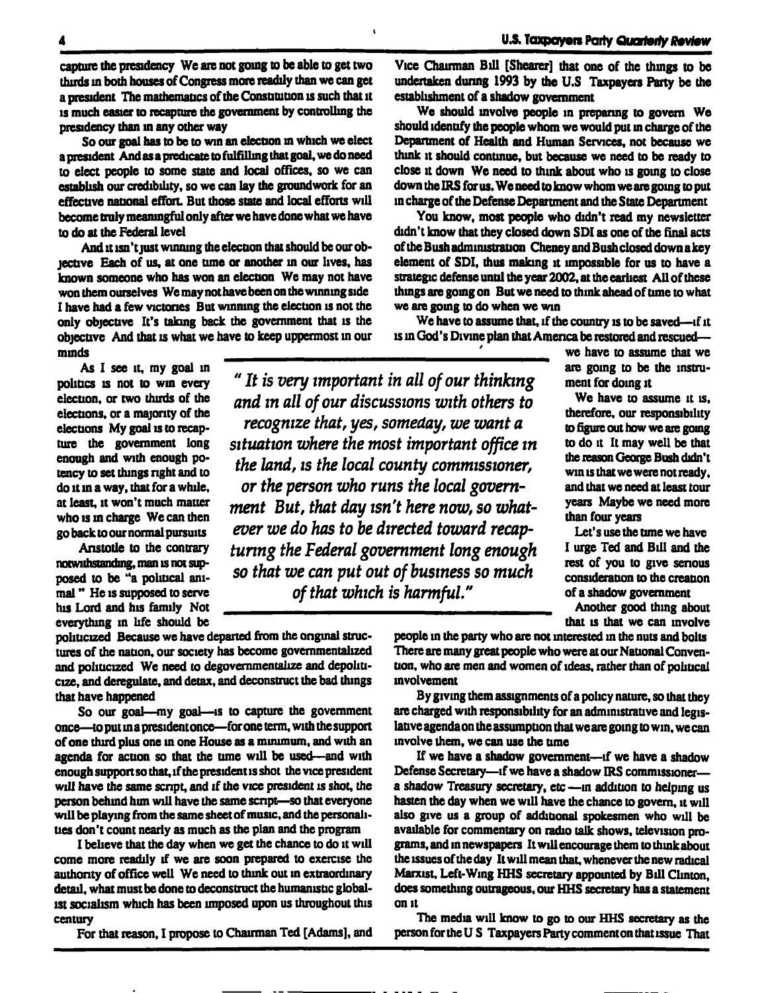capture the presidency We are not going to be able to get two Vice Chairman Bill [Shearer] that one of the things to be thirds in both houses of Congress more readily than we can get a president The maihematics of the Constitution is such diat it is much easier to recapture die government by controlling die presidency than in any other way

So our goal has to be to win an election in which we elect a president And as a predicate to fulfilling that goal, we do need to elect people to some state and local offices, so we can establish our credibility, so we can lay the groundwork for an effective national effort. But those state and local efforts will become truly meaningful only after we have done what we have to do at the Federal level

And it isn't just winning the election that should be our objective Each of us, at one time or another in our lives, has known someone who has won an election We may not have won them ourselves We may not have been on the winning side I have had a few victories But winning the election is not the only objective It's taking back the government that is the objective And that is what we have to keep uppermost in our minds

As I see it, my goal in politics is not to win every election, or two thuds of die elections, or a majority of die elections My goal is to recapture die government long enough and with enough potency to set dungs right and to do it in a way, that for a while, at least, it won't much matter who is in charge We can then go back to our normal pursuits

Anstotle to the contrary notwithstanding, man is not supposed to be "a political animal " He is supposed to serve his Lord and his family Not everything in life should be

politicized Because we have departed from the original structures of the nation, our society has become govemmentalized and politicized We need to degovernmentalize and depoliticize, and deregulate, and detax, and deconstruct die bad things that have happened

So our goal—my goal—is to capture the government once—to put in a president once—for one term, with the support of one third plus one in one House as a minimum, and with an agenda for action so that the tune will be used—and with enough support so that, if the president is shot the vice president will have the same script, and if the vice president is shot, the person behind him will have die same script—so that everyone will be playing from die same sheet of music, and die personalities don't count nearly as much as the plan and die program

I believe that die day when we get die chance to do it will come more readily if we are soon prepared to exercise die authority of office well We need to think out in extraordinary detail, what must be done to deconstruct die humanistic globalist socialism which has been imposed upon us throughout this century

For that reason, I propose to Chairman Ted [Adams], and

undertaken during 1993 by the U.S Taxpayers Party be the establishment of a shadow government

We should involve people in preparing to govern We should identify the people whom we would put in charge of the Department of Health and Human Services, not because we think it should continue, but because we need to be ready to close it down We need to think about who is going to close down the IRS for us. We need to know whom we are going to put in charge of the Defense Department and the State Department

You know, most people who didn't read my newsletter didn't know that they closed down SDI as one of the final acts of the Bush administration Cheney and Bush closed down a key element of SDI, thus making it impossible for us to have a strategic defense until the year 2002, at the earliest All of these things are going on But we need to think ahead of time to what we are going to do when we win

We have to assume that, if the country is to be saved—if it is in God's Divine plan that America be restored and rescued—

> ' we have to assume that we are going to be die instrument for doing it

> We have to assume it is, therefore, our responsibility to figure out how we are going to do it It may well be that the reason George Bush didn't win is that we were not ready, and that we need at least tour years Maybe we need more than four years

> Let's use the tune we have I urge Ted and Bill and the rest of you to give serious consideration to die creation of a shadow government

> Another good thing about that is that we can involve

people in the party who are not interested in die nuts and bolts There are many great people who were at our National Convention, who are men and women of ideas, rather than of political involvement

By giving them assignments of a policy nature, so that they are charged with responsibility for an administrative and legislative agenda on the assumption that we are going to win, we can involve them, we can use die time

If we have a shadow government—if we have a shadow Defense Secretary—if we have a shadow IRS commissioner a shadow Treasury secretary, etc—in addition to helping us hasten the day when we will have the chance to govern, it will also give us a group of additional spokesmen who will be available for commentary on radio talk shows, television programs, and in newspapers It will encourage them to think about the issues of the day It will mean that, whenever the new radical Marxist, Left-Wing HHS secretary appointed by Bill Clinton, does something outrageous, our HHS secretary has a statement on it

The media will know to go to our HHS secretary as the person for die US Taxpayers Party comment on that issue That

" It is very important in all of our thinking and in all of our discussions with others to recognize that, yes, someday, we want a situation where the most important office in the land, is the local county commissioner, or the person who runs the local government But, that day isn't here now, so whatever we do has to be directed toward recapturing the Federal government long enough so that we can put out of business so much of that which is harmful."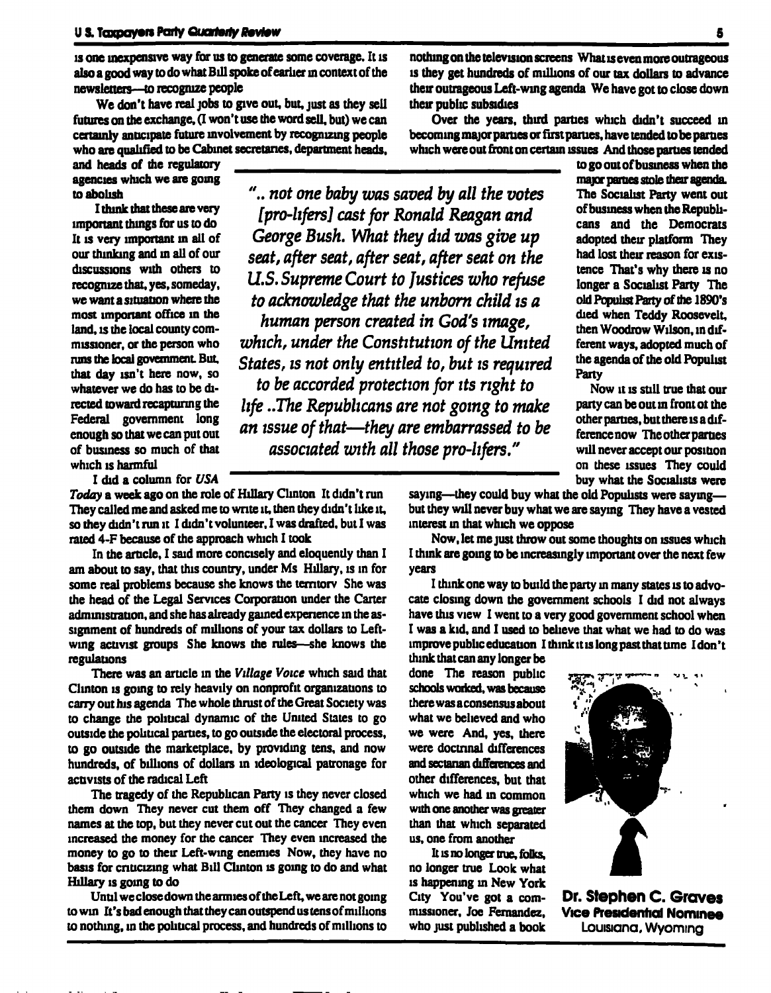is one inexpensive way for us to generate some coverage. It is also a good way to do what Bill spoke of earlier in context of the newsletters—to recognize people

We don't have real jobs to give out, but, just as they sell futures on the exchange. (I won't use the word sell, but) we can certainly anticipate future involvement by recognizing people who are qualified to be Cabinet secretaries, department heads,

and heads of the regulatory agencies which we are going to abolish

I think that these are very important things for us to do It is very important in all of our thinking and in all of our discussions with others to recognize that, yes, someday, we want a situation where the most important office in the land, is the local county commissioner, or the person who runs the local government. But. that day isn't here now, so whatever we do has to be directed toward recapturing the Federal government long enough so that we can put out of business so much of that which is harmful

I did a column for USA

Today a week ago on the role of Hillary Clinton It didn't run They called me and asked me to write it, then they didn't like it, so they didn't run it I didn't volunteer. I was drafted, but I was rated 4-F because of the approach which I took

In the article, I said more concisely and eloquently than I am about to say, that this country, under Ms Hillary, is in for some real problems because she knows the territory She was the head of the Legal Services Corporation under the Carter administration, and she has already gained experience in the assignment of hundreds of millions of your tax dollars to Leftwing activist groups She knows the rules—she knows the regulations

There was an article in the Village Voice which said that Clinton is going to rely heavily on nonprofit organizations to carry out his agenda The whole thrust of the Great Society was to change the political dynamic of the United States to go outside the political parties, to go outside the electoral process, to go outside the marketplace, by providing tens, and now hundreds, of billions of dollars in ideological patronage for activists of the radical Left

The tragedy of the Republican Party is they never closed them down They never cut them off They changed a few names at the top, but they never cut out the cancer They even increased the money for the cancer They even increased the money to go to their Left-wing enemies Now, they have no basis for criticizing what Bill Clinton is going to do and what Hillary is going to do

Until we close down the armies of the Left, we are not going to win It's bad enough that they can outspend us lens of millions to nothing, in the political process, and hundreds of millions to

nothing on the television screens What is even more outrageous is they get hundreds of millions of our tax dollars to advance their outrageous Left-wing agenda We have got to close down their public subsidies

Over the years, thud parties which didn't succeed in becoming major parties or first parties, have tended to be parties which were out front on certain issues And those parties tended

".. not one baby was saved by all the votes [pro-lifers] cast for Ronald Reagan and George Bush. What they did was give up seat, after seat, after seat, after seat on the U.S. Supreme Court to Justices who refuse to acknowledge that the unborn child is a human person created in God's image, which, under the Constitution of the United States, is not only entitled to, but is required to be accorded protection for its right to life ..The Republicans are not going to make an issue of that—they are embarrassed to be associated with all those pro-lifers."

^^^^^^^^^^^^^ to go out of business when the major parties stole their agenda. The Socialist Party went out of business when the Republicans and the Democrats adopted their platform They had lost their reason for existence That's why there is no longer a Socialist Party The old Populist Party of the 1890's died when Teddy Roosevelt, then Woodrow Wilson, in different ways, adopted much of the agenda of the old Populist Party

Now it is still true that our party can be out in front ot the other parties, but there is a difference now The other parties will never accept our position on these issues They could buy what the Socialists were

saying—they could buy what the old Populists were saying but they will never buy what we are saying They have a vested interest in that which we oppose

Now, let me just throw out some thoughts on issues which I think are going to be increasingly important over the next few years

I think one way to build the party in many states is to advocate closing down the government schools I did not always have this view I went to a very good government school when I was a kid, and I used to believe that what we had to do was improve public education I think it is long past that time I don't think that can any longer be

done The reason public schools woriced, was because there was aconsensus about what we believed and who we were And, yes, there were doctrinal differences and sectarian differences and other differences, but that which we had in common with one another was greater than that which separated us, one from another

It is no longer true, folks, no longer true Look what is happening in New York



City You've got a com- Dr. Stephen C. Graves<br>missioner, Joe Fernandez. Vice Presidentical Nominee Vice Presidential Nominee who just published a book Louisiana. Wyoming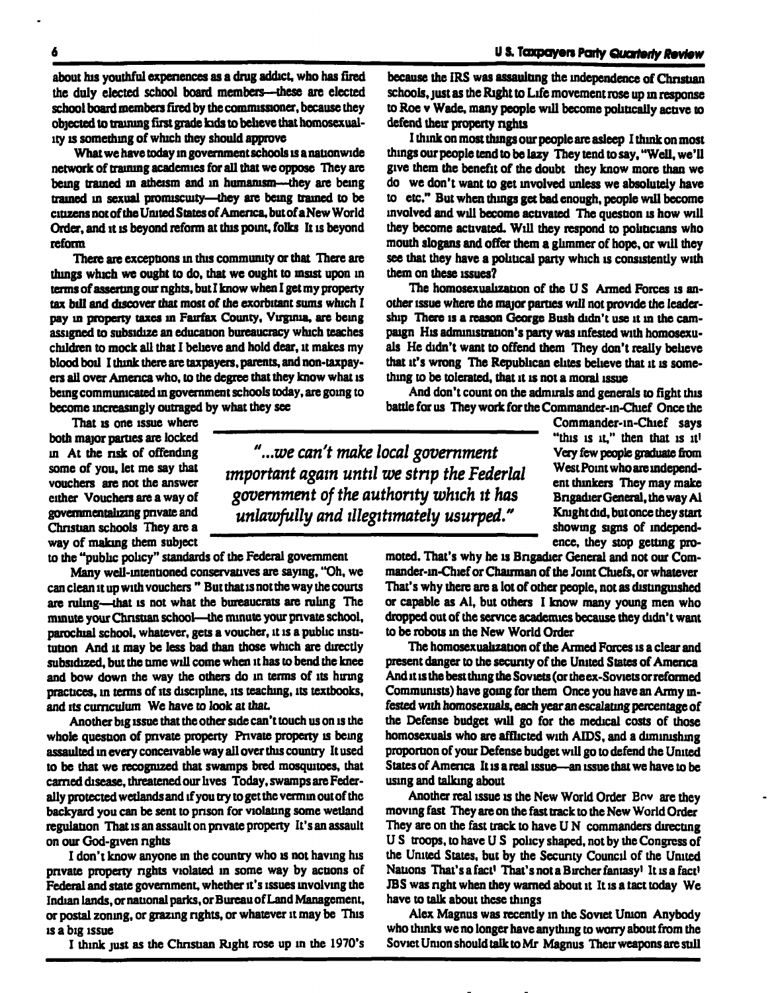about his youthful expenences as a drug addict, who has fired the duly elected school board members—these are elected school board members fired by the commissioner, because they objected to training first grade fads to believe that homosexuality is something of which they should approve

What we have today in government schools is a nationwide network of training academies for all that we oppose They are being trained in atheism and in humanism—they are being trained in sexual promiscuity—they are being trained to be citizens not of the UmtedStates of America, but ofaNew World Order, and it is beyond reform at this point, folks It is beyond reform

There are exceptions in this community or that There are things which we ought to do, that we ought to insist upon in terms of asserting our rights, but I know when I get my property tax bill and discover that most of the exorbitant sums which I pay in property taxes in Fairfax County, Virginia, are being assigned to subsidize an education bureaucracy which teaches children to mock all that I believe and hold dear, it makes my blood boil I think there are taxpayers, parents, and non-taxpayers all over America who, to the degree that they know what is being communicated in government schools today, are going to become increasingly outraged by what they see

That is one issue where both major parties are locked in At the nsk of offending some of you, let me say that vouchers are not the answer either Vouchers are a way of govemmentalizing private and Christian schools They are a way of making them subject

"...we can't make local government important again until we strip the Federlal government of the authority which it has unlawfully and illegitimately usurped."

to the "public policy" standards of the Federal government

Many well-intentioned conservatives are saying, "Oh, we can clean it up with vouchers " But that is not the way the courts are ruling—that is not what the bureaucrats are ruling The minute your Christian school—the minute your private school, parochial school, whatever, gets a voucher, it is a public institution And it may be less bad than those which are directly subsidized, but the time will come when it has to bend the knee and bow down the way the others do in terms of its hiring practices, in terms of its discipline, its teaching, its textbooks, and its curriculum We have to look at that.

Another big issue that the other side can't touch us on is the whole question of private property Private property is being assaulted in every conceivable way all over this country It used to be that we recognized that swamps bred mosquitoes, that earned disease, threatened our lives Today, swamps are Federally protected wetlands and if you try to get the vermin out of the backyard you can be sent to prison for violating some wetland regulation That is an assault on private property It's an assault on our God-given rights

I don't know anyone in the country who is not having his private property rights violated in some way by actions of Federal and state government, whether it's issues involving the Indian lands, or national parks, or Bureau of Land Management, or postal zoning, or grazing rights, or whatever it may be This is a big issue

I think just as the Christian Right rose up in the 1970's

because the IRS was assaulting the independence of Christian schools, just as the Right to Life movement rose up in response to Roe v Wade, many people will become politically active to defend their property rights

I think on most things our people are asleep I think on most things our people lend to be lazy They tend to say, "Well, we'll give them the benefit of the doubt they know more than we do we don't want to get involved unless we absolutely have to etc." But when things get bad enough, people will become involved and will become activated The question is how will they become activated. Will they respond to politicians who mouth slogans and offer them a glimmer of hope, or will they see that they have a political party which is consistently with them on these issues?

The homosexualization of the U S Armed Forces is another issue where the major parties will not provide the leadership There is a reason George Bush didn't use it in the campaign His administration's party was infested with homosexuals He didn't want to offend them They don't really believe that it's wrong The Republican elites believe that it is something to be tolerated, that it is not a moral issue

And don't count on the admirals and generals to fight this battle for us They work for the Commander-m-Chief Once the

Commander-in-Chief says "this is it," then that is it! Very few people graduate from West Point who are independent thinkers They may make Brigadier General, the way Al Knight did, but once they start showing signs of mdependence, they stop getting pro-

moted. That's why he is Brigadier General and not our Commander-m-Chief or Chairman of the Joint Chiefs, or whatever That's why there are a lot of other people, not as distinguished or capable as Al, but others I know many young men who dropped out of the service academies because they didn't want to be robots in the New World Order

The homosexualization of the Armed Forces is a clear and present danger to the security of the United States of America And it is the best thing the Soviets (or the ex-Soviets or reformed Communists) have going for them Once you have an Army infested with homosexuals, each year an escalating percentage of the Defense budget will go for the medical costs of those homosexuals who are afflicted with AIDS, and a diminishing proportion of your Defense budget will go to defend the United States of America It is a real issue—an issue that we have to be using and talking about

Another real issue is the New World Order Env are they moving fast They are on the fast track to the New World Order They are on the fast track to have U N commanders directing US troops, to have U S policy shaped, not by the Congress of the United States, but by the Security Council of the United Nations That's a fact' That's not a Bircher fantasy' It is a fact' IBS was nght when they warned about it It is a tact today We have to talk about these things

Alex Magnus was recently in the Soviet Union Anybody who thinks we no longer have anything to worry about from the Soviet Union should talk to Mr Magnus Their weapons are still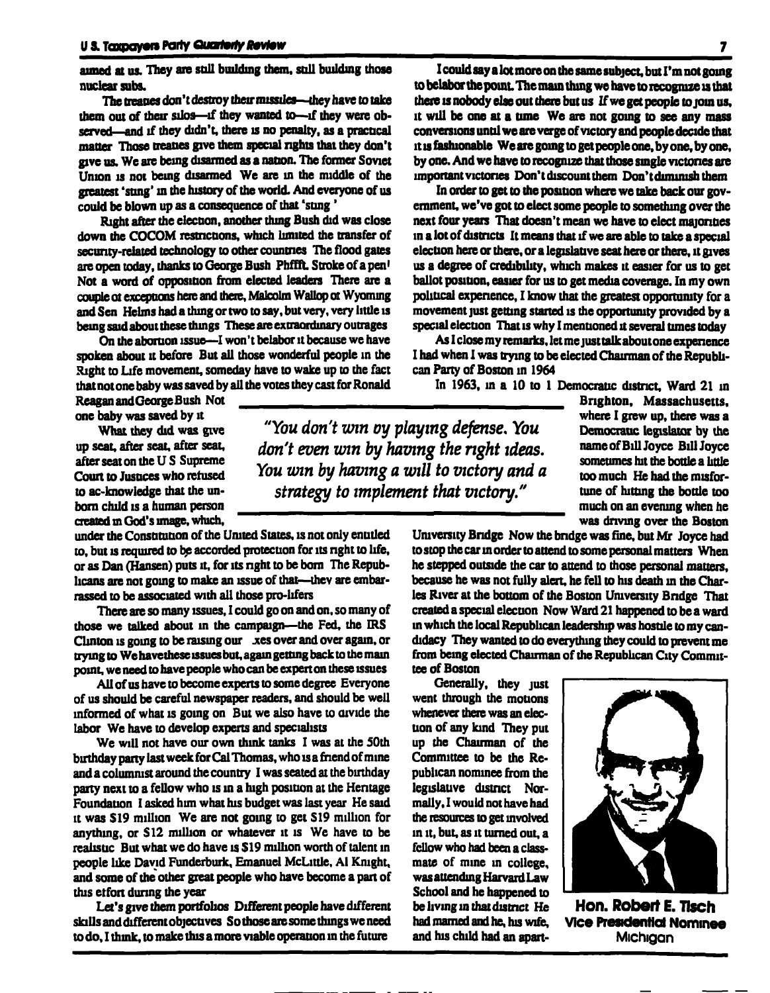aimed at us. They are still building them, still building those nuclear subs.

The treaties don't destroy their missiles—they have to take them out of their silos—if they wanted to—if they were observed—and if they didn't, there is no penalty, as a practical matter Those treaties give them special rights that they don't give us. We are being disarmed as a nation. The former Soviet Union is not being disarmed We are in the middle of the greatest 'sting' in the history of the world. And everyone of us could be blown up as a consequence of that 'sting'

Right after the elecoon, another thing Bush did was close down the COCOM restrictions, which limited the transfer of security-related technology to other countries The flood gates are open today, thanks to George Bush Phffft. Stroke of a pen<sup>1</sup> Not a word of opposition from elected leaders There are a couple ot exceptions here and there, Malcolm Wallop ot Wyoming and Sen Helms had a thing or two to say, but very, very little is being said about these things These are extraordinary outrages

On the abortion issue—I won't belabor it because we have spoken about it before But all those wonderful people in the Right to Life movement, someday have to wake up to the fact that not one baby was saved by all the votes they cast for Ronald<br>Reagan and George Bush Not

one baby was saved by it

What they did was give up seat, after seat, after seat, after seat on the U S Supreme Court to Jusuces who refused to ac-knowiedge that the unborn child is a human person created m God's image, which,

under the Constitution of the United States, is not only entitled to, but is required to be accorded protection for its right to life, or as Dan (Hansen) puts it, for its right to be born The Republicans are not going to make an issue of that—they are embarrassed to be associated with all those pro-lifers

There are so many issues, I could go on and on. so many of those we talked about in the campaign—the Fed, the IRS Clinton is going to be raising our xes over and over again, or trying to We have these issues but, again getting back to the main point, we need to have people who can be expert on these issues

All of us have to become experts to some degree Everyone of us should be careful newspaper readers, and should be well informed of what is going on But we also have to divide the labor We have to develop experts and specialists

We will not have our own think tanks I was at the 50th birthday party last week for Cal Thomas, who isa friend of mine and a columnist around the country I was seated at the birthday party next to a fellow who is in a high position at the Heritage Foundation I asked him what his budget was last year He said it was S19 million We are not going to get S19 million for anything, or S12 million or whatever it is We have to be realistic But what we do have is \$19 million worth of talent in people like David Funderburk, Emanuel McLittle. Al Knight, and some of the other great people who have become a pan of this etfon during the year

Let's give them portfolios Different people have different skills and different objectives So those are some things we need to do, I think, to make this a more viable operation in the future

I could say a lot more on the same subject, but I'm not going to belabor the point. The main thing we have to recognize is that there is nobody else out there but us If we get people to join us, it will be one at a time We are not going to see any mass conversions until we are verge of victory and people decide that it is fashionable We are going to get people one, by one, by one, by one. And we have to recognize that those single victones are important victories Don't discount them Don't diminish them

In order to get to the position where we take back our government, we've got to elect some people to something over the next four years That doesn't mean we have to elect majorities in a lot of districts It means that if we are able to take a special election here or there, or a legislative seat here or there, it gives us a degree of credibility, which makes it easier for us to get ballot position, easier for us to get media coverage. In my own political experience, I know that the greatest opportunity for a movement just getting started is the opportunity provided by a special election That is why I mentioned it several tunes today

As I close my remarks, let me justtalkaboutone experience I had when I was trying to be elected Chairman of the Republican Party of Boston in 1964

In 1963. in a 10 to 1 Democratic district. Ward 21 in Can Party of Boston in 1964<br>
In 1963, in a 10 to 1 Democratic district, Ward 21 in<br>
Brighton, Massachusetts,<br>
where I grew in there was a

"You don't win oy playing defense. You don't even win by having the right ideas. You win by having a will to victory and a strategy to implement that victory."

where I grew up, there was a Democratic legislator by the name of Bill Joyce Bill Joyce sometimes hit the bottle a little too much He had the misfortune of hitting the bottle too much on an evening when he was driving over the Boston

University Bridge Now the bridge was fine, but Mr Joyce had to stop the car in order to attend to some personal matters When he stepped outside the car to attend to those personal matters, because he was not fully alert, he fell to his death in the Charles River at the bottom of the Boston University Bndge That created a special election Now Ward 21 happened to be a ward in which the local Republican leadership was hostile to my candidacy They wanted to do everything they could to prevent me from being elected Chairman of the Republican City Committee of Boston

Generally, they just went through the motions whenever there was an election of any kind They put up the Chairman of the Committee to be the Republican nominee from the legislative district Normally. I would not have had the resources to get involved in it, but, as it turned out, a fellow who had been a classmate of mine in college, was attending Harvard Law School and he happened to be living in thatdistnct He had marned and he, his wife, and his child had an apart-



Hon. Robert E. Tlsch Vice Presidential Nominee **Michigan**